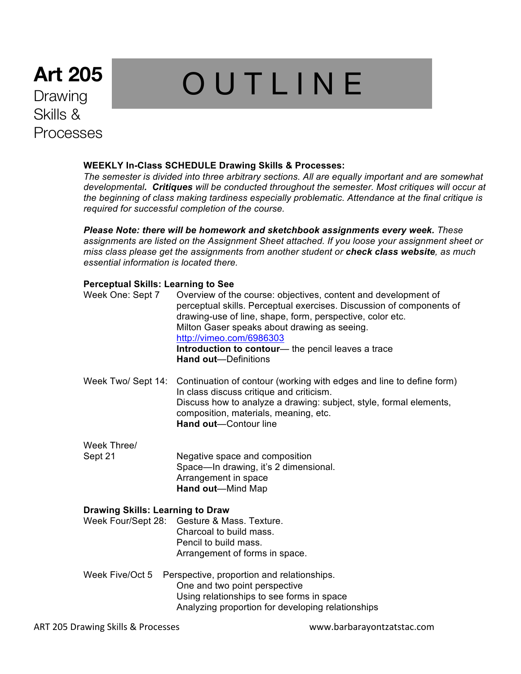## **Art 205** Drawing Skills & Processes

# **OUTLINE**

#### **WEEKLY In-Class SCHEDULE Drawing Skills & Processes:**

*The semester is divided into three arbitrary sections. All are equally important and are somewhat developmental. Critiques will be conducted throughout the semester. Most critiques will occur at the beginning of class making tardiness especially problematic. Attendance at the final critique is required for successful completion of the course.*

*Please Note: there will be homework and sketchbook assignments every week. These assignments are listed on the Assignment Sheet attached. If you loose your assignment sheet or miss class please get the assignments from another student or check class website, as much essential information is located there.*

#### **Perceptual Skills: Learning to See**

| Week One: Sept 7                        | Overview of the course: objectives, content and development of<br>perceptual skills. Perceptual exercises. Discussion of components of<br>drawing-use of line, shape, form, perspective, color etc.<br>Milton Gaser speaks about drawing as seeing.<br>http://vimeo.com/6986303<br>Introduction to contour— the pencil leaves a trace<br><b>Hand out-Definitions</b> |  |
|-----------------------------------------|----------------------------------------------------------------------------------------------------------------------------------------------------------------------------------------------------------------------------------------------------------------------------------------------------------------------------------------------------------------------|--|
| Week Two/ Sept 14:                      | Continuation of contour (working with edges and line to define form)<br>In class discuss critique and criticism.<br>Discuss how to analyze a drawing: subject, style, formal elements,<br>composition, materials, meaning, etc.<br><b>Hand out-Contour line</b>                                                                                                      |  |
| Week Three/                             |                                                                                                                                                                                                                                                                                                                                                                      |  |
| Sept 21                                 | Negative space and composition<br>Space-In drawing, it's 2 dimensional.<br>Arrangement in space<br>Hand out-Mind Map                                                                                                                                                                                                                                                 |  |
| <b>Drawing Skills: Learning to Draw</b> |                                                                                                                                                                                                                                                                                                                                                                      |  |
| Week Four/Sept 28:                      | Gesture & Mass. Texture.<br>Charcoal to build mass.<br>Pencil to build mass.<br>Arrangement of forms in space.                                                                                                                                                                                                                                                       |  |
| Week Five/Oct 5                         | Perspective, proportion and relationships.<br>One and two point perspective<br>Using relationships to see forms in space                                                                                                                                                                                                                                             |  |

Analyzing proportion for developing relationships